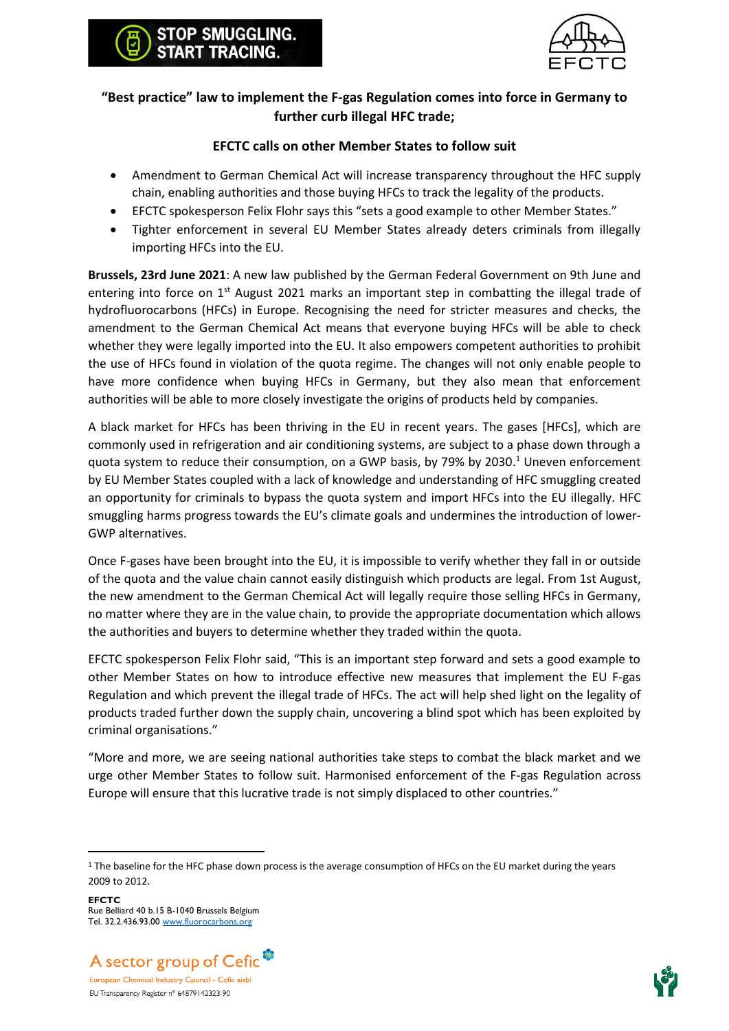

## **"Best practice" law to implement the F-gas Regulation comes into force in Germany to further curb illegal HFC trade;**

STOP SMUGGLING. **RT TRACING.** 

## **EFCTC calls on other Member States to follow suit**

- Amendment to German Chemical Act will increase transparency throughout the HFC supply chain, enabling authorities and those buying HFCs to track the legality of the products.
- EFCTC spokesperson Felix Flohr says this "sets a good example to other Member States."
- Tighter enforcement in several EU Member States already deters criminals from illegally importing HFCs into the EU.

**Brussels, 23rd June 2021**: A new law published by the German Federal Government on 9th June and entering into force on  $1<sup>st</sup>$  August 2021 marks an important step in combatting the illegal trade of hydrofluorocarbons (HFCs) in Europe. Recognising the need for stricter measures and checks, the amendment to the German Chemical Act means that everyone buying HFCs will be able to check whether they were legally imported into the EU. It also empowers competent authorities to prohibit the use of HFCs found in violation of the quota regime. The changes will not only enable people to have more confidence when buying HFCs in Germany, but they also mean that enforcement authorities will be able to more closely investigate the origins of products held by companies.

A black market for HFCs has been thriving in the EU in recent years. The gases [HFCs], which are commonly used in refrigeration and air conditioning systems, are subject to a phase down through a quota system to reduce their consumption, on a GWP basis, by 79% by 2030. <sup>1</sup> Uneven enforcement by EU Member States coupled with a lack of knowledge and understanding of HFC smuggling created an opportunity for criminals to bypass the quota system and import HFCs into the EU illegally. HFC smuggling harms progress towards the EU's climate goals and undermines the introduction of lower-GWP alternatives.

Once F-gases have been brought into the EU, it is impossible to verify whether they fall in or outside of the quota and the value chain cannot easily distinguish which products are legal. From 1st August, the new amendment to the German Chemical Act will legally require those selling HFCs in Germany, no matter where they are in the value chain, to provide the appropriate documentation which allows the authorities and buyers to determine whether they traded within the quota.

EFCTC spokesperson Felix Flohr said, "This is an important step forward and sets a good example to other Member States on how to introduce effective new measures that implement the EU F-gas Regulation and which prevent the illegal trade of HFCs. The act will help shed light on the legality of products traded further down the supply chain, uncovering a blind spot which has been exploited by criminal organisations."

"More and more, we are seeing national authorities take steps to combat the black market and we urge other Member States to follow suit. Harmonised enforcement of the F-gas Regulation across Europe will ensure that this lucrative trade is not simply displaced to other countries."





<sup>&</sup>lt;sup>1</sup> The baseline for the HFC phase down process is the average consumption of HFCs on the EU market during the years 2009 to 2012.